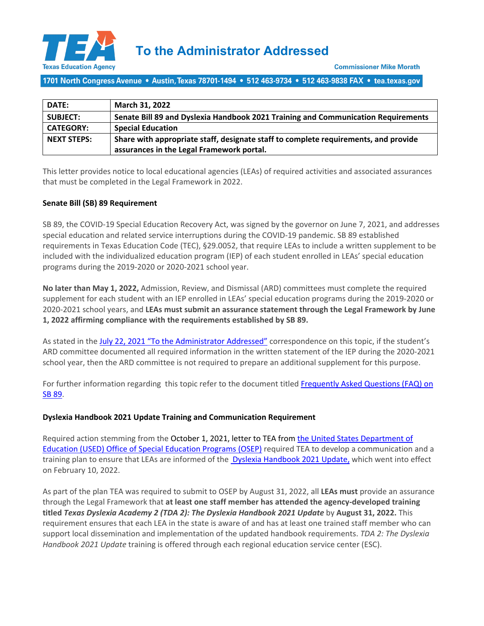

**To the Administrator Addressed**

1701 North Congress Avenue • Austin, Texas 78701-1494 • 512 463-9734 • 512 463-9838 FAX • tea.texas.gov

| <b>DATE:</b>       | March 31, 2022                                                                      |
|--------------------|-------------------------------------------------------------------------------------|
| <b>SUBJECT:</b>    | Senate Bill 89 and Dyslexia Handbook 2021 Training and Communication Requirements   |
| <b>CATEGORY:</b>   | <b>Special Education</b>                                                            |
| <b>NEXT STEPS:</b> | Share with appropriate staff, designate staff to complete requirements, and provide |
|                    | assurances in the Legal Framework portal.                                           |

This letter provides notice to local educational agencies (LEAs) of required activities and associated assurances that must be completed in the Legal Framework in 2022.

## **Senate Bill (SB) 89 Requirement**

SB 89, the COVID-19 Special Education Recovery Act, was signed by the governor on June 7, 2021, and addresses special education and related service interruptions during the COVID-19 pandemic. SB 89 established requirements in Texas Education Code (TEC), §29.0052, that require LEAs to include a written supplement to be included with the individualized education program (IEP) of each student enrolled in LEAs' special education programs during the 2019-2020 or 2020-2021 school year.

**No later than May 1, 2022,** Admission, Review, and Dismissal (ARD) committees must complete the required supplement for each student with an IEP enrolled in LEAs' special education programs during the 2019-2020 or 2020-2021 school years, and **LEAs must submit an assurance statement through [the Legal Framework](https://framework.esc18.net/display/Webforms/ESC18-FW-LandingPage.aspx) by June 1, 2022 affirming compliance with the requirements established by SB 89.** 

As stated in the [July 22, 2021 "To the Administrator Addressed"](https://tea.texas.gov/about-tea/news-and-multimedia/correspondence/taa-letters/senate-bill-89-implementation-overview) correspondence on this topic, if the student's ARD committee documented all required information in the written statement of the IEP during the 2020-2021 school year, then the ARD committee is not required to prepare an additional supplement for this purpose.

For further information regarding this topic refer to the document titled [Frequently Asked Questions \(FAQ\) on](https://tea.texas.gov/sites/default/files/sb_89_faq.pdf)  [SB 89.](https://tea.texas.gov/sites/default/files/sb_89_faq.pdf)

## **Dyslexia Handbook 2021 Update Training and Communication Requirement**

Required action stemming from the October 1, 2021, letter to TEA from the United States Department of [Education \(USED\) Office of Special Education Programs \(OSEP\)](https://www2.ed.gov/fund/data/report/idea/partbdmsrpts/dms-tx-b-2021-letter-car-10-01-2021.pdf) required TEA to develop a communication and a training plan to ensure that LEAs are informed of the [Dyslexia Handbook 2021 Update,](https://tea.texas.gov/sites/default/files/texas-dyslexia-handbook-2021.pdf) which went into effect on February 10, 2022.

As part of the plan TEA was required to submit to OSEP by August 31, 2022, all **LEAs must** provide an assurance through the Legal Framework that **at least one staff member has attended the agency-developed training titled** *Texas Dyslexia Academy 2 (TDA 2): The Dyslexia Handbook 2021 Update* by **August 31, 2022.** This requirement ensures that each LEA in the state is aware of and has at least one trained staff member who can support local dissemination and implementation of the updated handbook requirements. *TDA 2: The Dyslexia Handbook 2021 Update* training is offered through each regional education service center (ESC).